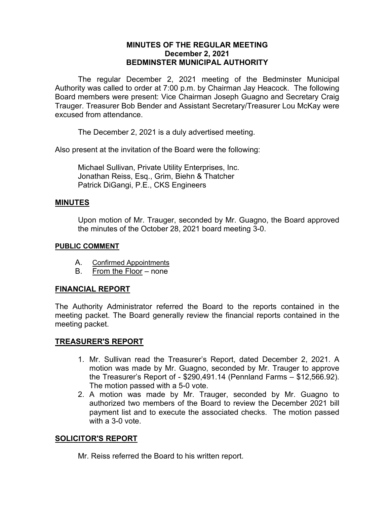# **MINUTES OF THE REGULAR MEETING December 2, 2021 BEDMINSTER MUNICIPAL AUTHORITY**

The regular December 2, 2021 meeting of the Bedminster Municipal Authority was called to order at 7:00 p.m. by Chairman Jay Heacock. The following Board members were present: Vice Chairman Joseph Guagno and Secretary Craig Trauger. Treasurer Bob Bender and Assistant Secretary/Treasurer Lou McKay were excused from attendance.

The December 2, 2021 is a duly advertised meeting.

Also present at the invitation of the Board were the following:

Michael Sullivan, Private Utility Enterprises, Inc. Jonathan Reiss, Esq., Grim, Biehn & Thatcher Patrick DiGangi, P.E., CKS Engineers

### **MINUTES**

Upon motion of Mr. Trauger, seconded by Mr. Guagno, the Board approved the minutes of the October 28, 2021 board meeting 3-0.

#### **PUBLIC COMMENT**

- A. Confirmed Appointments
- B. From the Floor none

# **FINANCIAL REPORT**

The Authority Administrator referred the Board to the reports contained in the meeting packet. The Board generally review the financial reports contained in the meeting packet.

# **TREASURER'S REPORT**

- 1. Mr. Sullivan read the Treasurer's Report, dated December 2, 2021. A motion was made by Mr. Guagno, seconded by Mr. Trauger to approve the Treasurer's Report of - \$290,491.14 (Pennland Farms – \$12,566.92). The motion passed with a 5-0 vote.
- 2. A motion was made by Mr. Trauger, seconded by Mr. Guagno to authorized two members of the Board to review the December 2021 bill payment list and to execute the associated checks. The motion passed with a 3-0 vote.

# **SOLICITOR'S REPORT**

Mr. Reiss referred the Board to his written report.